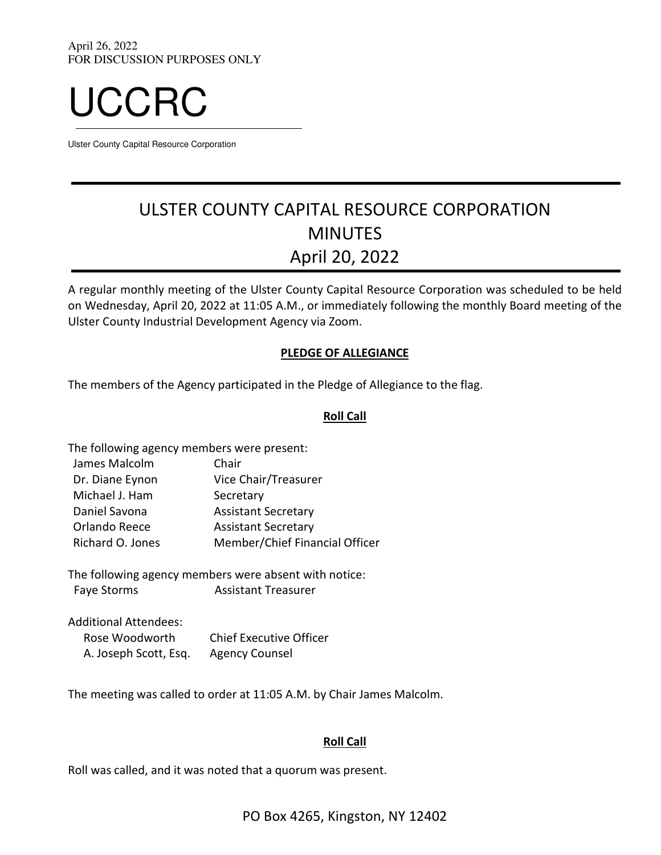

Ulster County Capital Resource Corporation

# ULSTER COUNTY CAPITAL RESOURCE CORPORATION MINUTES April 20, 2022

A regular monthly meeting of the Ulster County Capital Resource Corporation was scheduled to be held on Wednesday, April 20, 2022 at 11:05 A.M., or immediately following the monthly Board meeting of the Ulster County Industrial Development Agency via Zoom.

## PLEDGE OF ALLEGIANCE

The members of the Agency participated in the Pledge of Allegiance to the flag.

## Roll Call

| The following agency members were present: |                                |
|--------------------------------------------|--------------------------------|
| James Malcolm                              | Chair                          |
| Dr. Diane Eynon                            | Vice Chair/Treasurer           |
| Michael J. Ham                             | Secretary                      |
| Daniel Savona                              | <b>Assistant Secretary</b>     |
| Orlando Reece                              | <b>Assistant Secretary</b>     |
| Richard O. Jones                           | Member/Chief Financial Officer |
|                                            |                                |

The following agency members were absent with notice: Faye Storms Assistant Treasurer

Additional Attendees: Rose Woodworth Chief Executive Officer A. Joseph Scott, Esq. Agency Counsel

The meeting was called to order at 11:05 A.M. by Chair James Malcolm.

## Roll Call

Roll was called, and it was noted that a quorum was present.

PO Box 4265, Kingston, NY 12402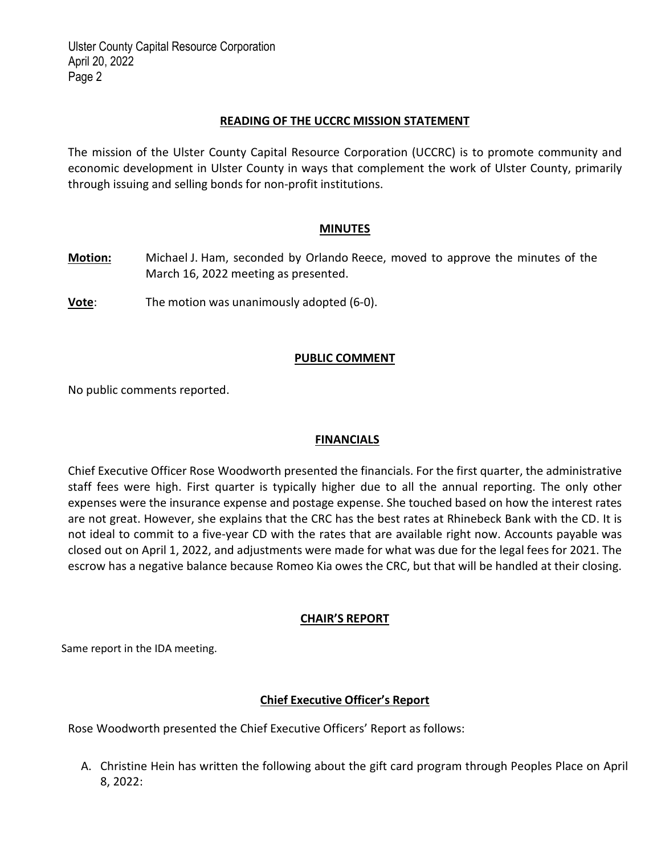Ulster County Capital Resource Corporation April 20, 2022 Page 2

#### READING OF THE UCCRC MISSION STATEMENT

The mission of the Ulster County Capital Resource Corporation (UCCRC) is to promote community and economic development in Ulster County in ways that complement the work of Ulster County, primarily through issuing and selling bonds for non‐profit institutions.

#### **MINUTES**

- Motion: Michael J. Ham, seconded by Orlando Reece, moved to approve the minutes of the March 16, 2022 meeting as presented.
- Vote: The motion was unanimously adopted (6-0).

## PUBLIC COMMENT

No public comments reported.

## **FINANCIALS**

Chief Executive Officer Rose Woodworth presented the financials. For the first quarter, the administrative staff fees were high. First quarter is typically higher due to all the annual reporting. The only other expenses were the insurance expense and postage expense. She touched based on how the interest rates are not great. However, she explains that the CRC has the best rates at Rhinebeck Bank with the CD. It is not ideal to commit to a five‐year CD with the rates that are available right now. Accounts payable was closed out on April 1, 2022, and adjustments were made for what was due for the legal fees for 2021. The escrow has a negative balance because Romeo Kia owes the CRC, but that will be handled at their closing.

## CHAIR'S REPORT

Same report in the IDA meeting.

# Chief Executive Officer's Report

Rose Woodworth presented the Chief Executive Officers' Report as follows:

A. Christine Hein has written the following about the gift card program through Peoples Place on April 8, 2022: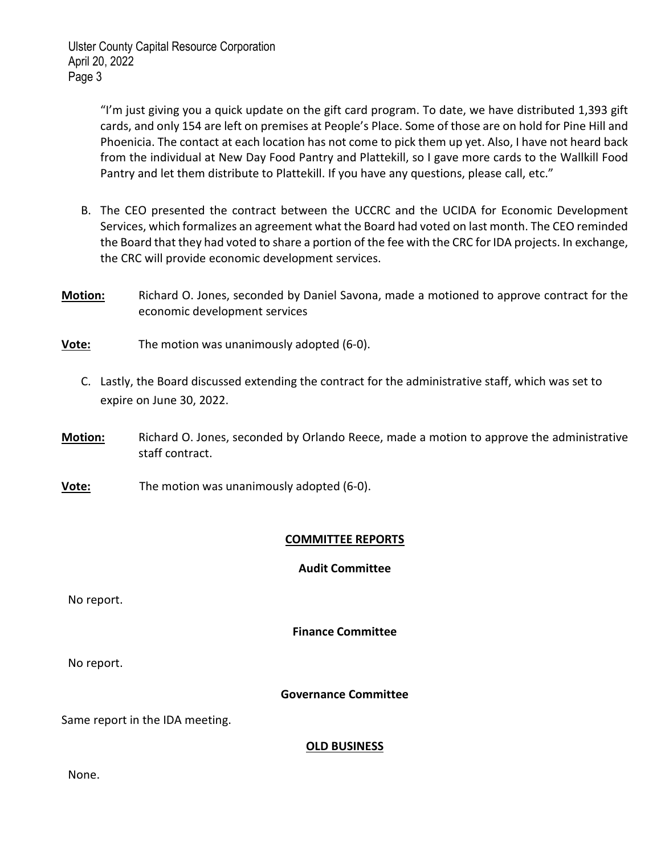Ulster County Capital Resource Corporation April 20, 2022 Page 3

> "I'm just giving you a quick update on the gift card program. To date, we have distributed 1,393 gift cards, and only 154 are left on premises at People's Place. Some of those are on hold for Pine Hill and Phoenicia. The contact at each location has not come to pick them up yet. Also, I have not heard back from the individual at New Day Food Pantry and Plattekill, so I gave more cards to the Wallkill Food Pantry and let them distribute to Plattekill. If you have any questions, please call, etc."

- B. The CEO presented the contract between the UCCRC and the UCIDA for Economic Development Services, which formalizes an agreement what the Board had voted on last month. The CEO reminded the Board that they had voted to share a portion of the fee with the CRC for IDA projects. In exchange, the CRC will provide economic development services.
- **Motion:** Richard O. Jones, seconded by Daniel Savona, made a motioned to approve contract for the economic development services
- Vote: The motion was unanimously adopted (6-0).
	- C. Lastly, the Board discussed extending the contract for the administrative staff, which was set to expire on June 30, 2022.
- Motion: Richard O. Jones, seconded by Orlando Reece, made a motion to approve the administrative staff contract.
- Vote: The motion was unanimously adopted (6-0).

## COMMITTEE REPORTS

#### Audit Committee

No report.

Finance Committee

No report.

## Governance Committee

Same report in the IDA meeting.

#### **OLD BUSINESS**

None.